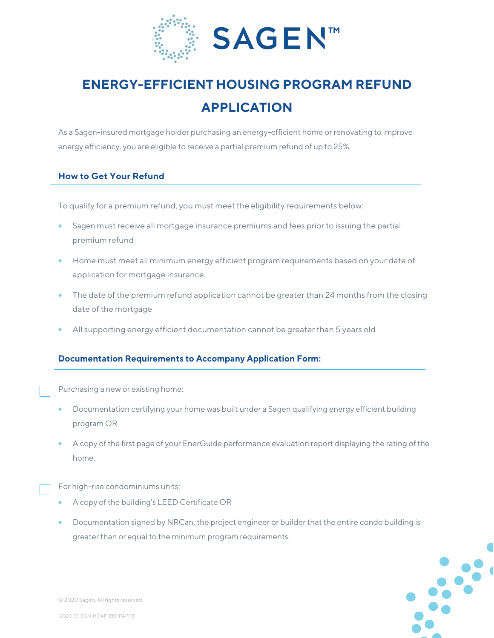

# **ENERGY-EFFICIENT HOUSING PROGRAM REFUND APPLICATION**

As a Sagen-insured mortgage holder purchasing an energy-efficient home or renovating to improve energy efficiency, you are eligible to receive a partial premium refund of up to 25%.

### **How to Get Your Refund**

To qualify for a premium refund, you must meet the eligibility requirements below:

- Sagen must receive all mortgage insurance premiums and fees prior to issuing the partial premium refund
- Home must meet all minimum energy efficient program requirements based on your date of application for mortgage insurance
- The date of the premium refund application cannot be greater than 24 months from the closing date of the mortgage
- All supporting energy efficient documentation cannot be greater than 5 years old

## **Documentation Requirements to Accompany Application Form:**

Purchasing a new or existing home:

- Documentation certifying your home was built under a Sagen qualifying energy efficient building program OR
- A copy of the first page of your EnerGuide performance evaluation report displaying the rating of the home.

For high-rise condominiums units:

- A copy of the building's LEED Certificate OR
- Documentation signed by NRCan, the project engineer or builder that the entire condo building is greater than or equal to the minimum program requirements.



© 2020 Sagen. All rights reserved.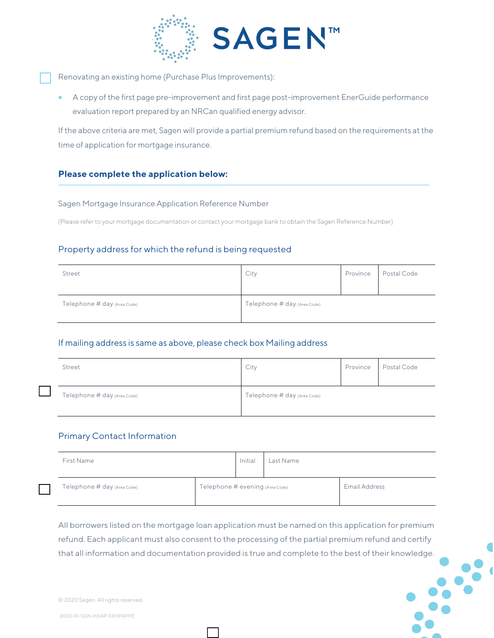

Renovating an existing home (Purchase Plus Improvements):

• A copy of the first page pre-improvement and first page post-improvement EnerGuide performance evaluation report prepared by an NRCan qualified energy advisor.

If the above criteria are met, Sagen will provide a partial premium refund based on the requirements at the time of application for mortgage insurance.

#### **Please complete the application below:**

Sagen Mortgage Insurance Application Reference Number

(Please refer to your mortgage documentation or contact your mortgage bank to obtain the Sagen Reference Number)

#### Property address for which the refund is being requested

| <b>Street</b>               | City                        | Province | Postal Code |
|-----------------------------|-----------------------------|----------|-------------|
| Telephone # day (Area Code) | Telephone # day (Area Code) |          |             |

#### If mailing address is same as above, please check box Mailing address

| <b>Street</b>               | City                        | Province | Postal Code |
|-----------------------------|-----------------------------|----------|-------------|
| Telephone # day (Area Code) | Telephone # day (Area Code) |          |             |

## Primary Contact Information

| <b>First Name</b>           |                                 | Initial | Last Name |                      |
|-----------------------------|---------------------------------|---------|-----------|----------------------|
| Telephone # day (Area Code) | Telephone # evening (Area Code) |         |           | <b>Email Address</b> |

All borrowers listed on the mortgage loan application must be named on this application for premium refund. Each applicant must also consent to the processing of the partial premium refund and certify that all information and documentation provided is true and complete to the best of their knowledge.

© 2020 Sagen. All rights reserved.

2020-10-SGN-HOAP-EEHPAPPE